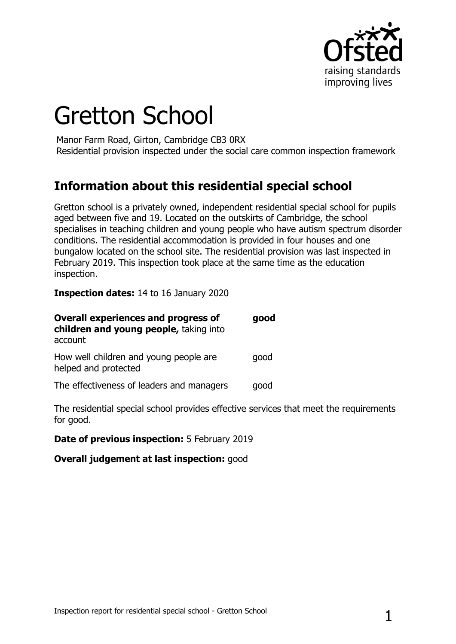

# Gretton School

Manor Farm Road, Girton, Cambridge CB3 0RX Residential provision inspected under the social care common inspection framework

## **Information about this residential special school**

Gretton school is a privately owned, independent residential special school for pupils aged between five and 19. Located on the outskirts of Cambridge, the school specialises in teaching children and young people who have autism spectrum disorder conditions. The residential accommodation is provided in four houses and one bungalow located on the school site. The residential provision was last inspected in February 2019. This inspection took place at the same time as the education inspection.

**Inspection dates:** 14 to 16 January 2020

| <b>Overall experiences and progress of</b><br>children and young people, taking into<br>account | good |
|-------------------------------------------------------------------------------------------------|------|
| How well children and young people are<br>helped and protected                                  | qood |
| The effectiveness of leaders and managers                                                       | qood |

The residential special school provides effective services that meet the requirements for good.

**Date of previous inspection:** 5 February 2019

**Overall judgement at last inspection:** good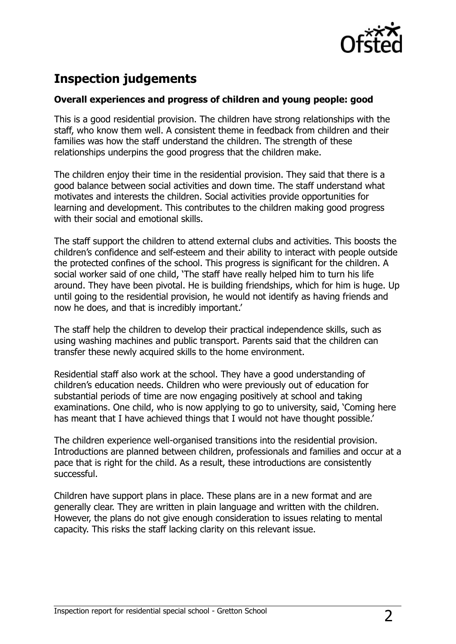

# **Inspection judgements**

#### **Overall experiences and progress of children and young people: good**

This is a good residential provision. The children have strong relationships with the staff, who know them well. A consistent theme in feedback from children and their families was how the staff understand the children. The strength of these relationships underpins the good progress that the children make.

The children enjoy their time in the residential provision. They said that there is a good balance between social activities and down time. The staff understand what motivates and interests the children. Social activities provide opportunities for learning and development. This contributes to the children making good progress with their social and emotional skills.

The staff support the children to attend external clubs and activities. This boosts the children's confidence and self-esteem and their ability to interact with people outside the protected confines of the school. This progress is significant for the children. A social worker said of one child, 'The staff have really helped him to turn his life around. They have been pivotal. He is building friendships, which for him is huge. Up until going to the residential provision, he would not identify as having friends and now he does, and that is incredibly important.'

The staff help the children to develop their practical independence skills, such as using washing machines and public transport. Parents said that the children can transfer these newly acquired skills to the home environment.

Residential staff also work at the school. They have a good understanding of children's education needs. Children who were previously out of education for substantial periods of time are now engaging positively at school and taking examinations. One child, who is now applying to go to university, said, 'Coming here has meant that I have achieved things that I would not have thought possible.'

The children experience well-organised transitions into the residential provision. Introductions are planned between children, professionals and families and occur at a pace that is right for the child. As a result, these introductions are consistently successful.

Children have support plans in place. These plans are in a new format and are generally clear. They are written in plain language and written with the children. However, the plans do not give enough consideration to issues relating to mental capacity. This risks the staff lacking clarity on this relevant issue.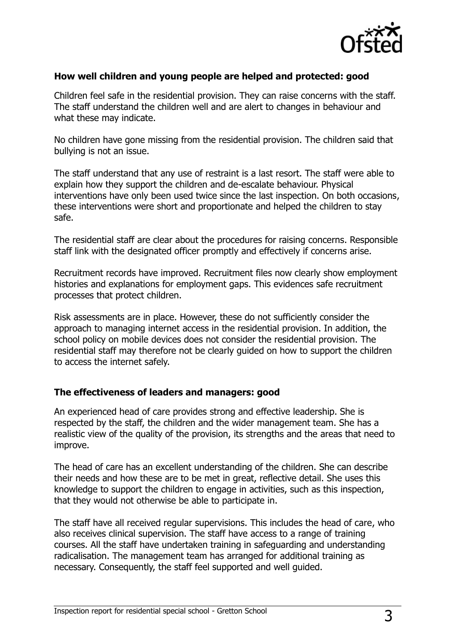

#### **How well children and young people are helped and protected: good**

Children feel safe in the residential provision. They can raise concerns with the staff. The staff understand the children well and are alert to changes in behaviour and what these may indicate.

No children have gone missing from the residential provision. The children said that bullying is not an issue.

The staff understand that any use of restraint is a last resort. The staff were able to explain how they support the children and de-escalate behaviour. Physical interventions have only been used twice since the last inspection. On both occasions, these interventions were short and proportionate and helped the children to stay safe.

The residential staff are clear about the procedures for raising concerns. Responsible staff link with the designated officer promptly and effectively if concerns arise.

Recruitment records have improved. Recruitment files now clearly show employment histories and explanations for employment gaps. This evidences safe recruitment processes that protect children.

Risk assessments are in place. However, these do not sufficiently consider the approach to managing internet access in the residential provision. In addition, the school policy on mobile devices does not consider the residential provision. The residential staff may therefore not be clearly guided on how to support the children to access the internet safely.

#### **The effectiveness of leaders and managers: good**

An experienced head of care provides strong and effective leadership. She is respected by the staff, the children and the wider management team. She has a realistic view of the quality of the provision, its strengths and the areas that need to improve.

The head of care has an excellent understanding of the children. She can describe their needs and how these are to be met in great, reflective detail. She uses this knowledge to support the children to engage in activities, such as this inspection, that they would not otherwise be able to participate in.

The staff have all received regular supervisions. This includes the head of care, who also receives clinical supervision. The staff have access to a range of training courses. All the staff have undertaken training in safeguarding and understanding radicalisation. The management team has arranged for additional training as necessary. Consequently, the staff feel supported and well guided.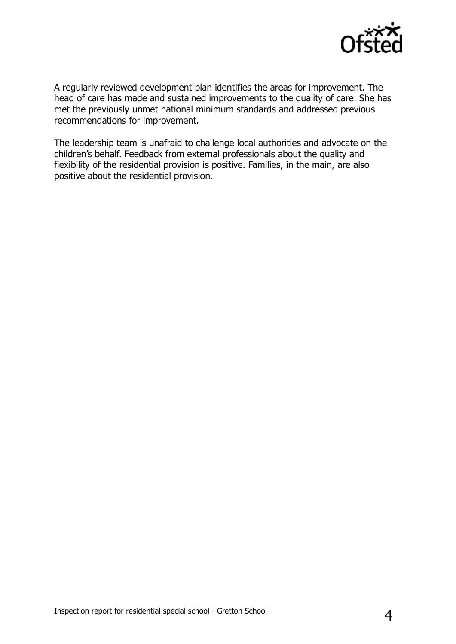

A regularly reviewed development plan identifies the areas for improvement. The head of care has made and sustained improvements to the quality of care. She has met the previously unmet national minimum standards and addressed previous recommendations for improvement.

The leadership team is unafraid to challenge local authorities and advocate on the children's behalf. Feedback from external professionals about the quality and flexibility of the residential provision is positive. Families, in the main, are also positive about the residential provision.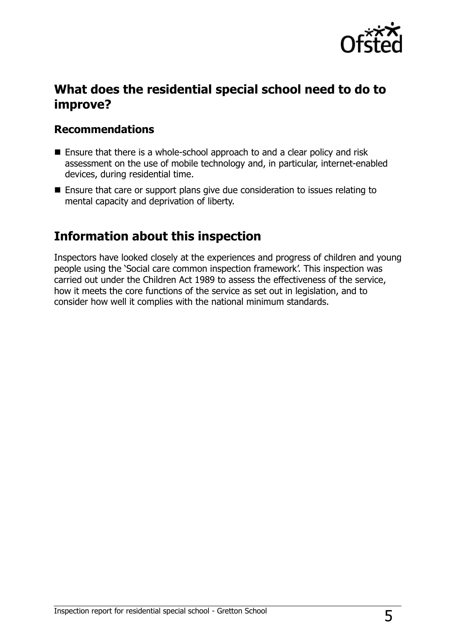

## **What does the residential special school need to do to improve?**

### **Recommendations**

- Ensure that there is a whole-school approach to and a clear policy and risk assessment on the use of mobile technology and, in particular, internet-enabled devices, during residential time.
- Ensure that care or support plans give due consideration to issues relating to mental capacity and deprivation of liberty.

## **Information about this inspection**

Inspectors have looked closely at the experiences and progress of children and young people using the 'Social care common inspection framework'. This inspection was carried out under the Children Act 1989 to assess the effectiveness of the service, how it meets the core functions of the service as set out in legislation, and to consider how well it complies with the national minimum standards.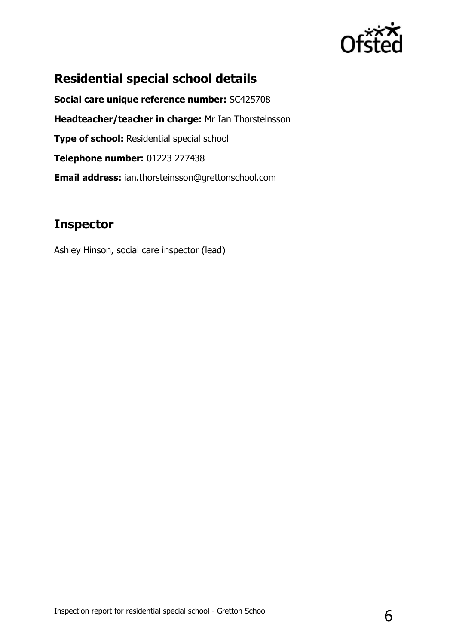

# **Residential special school details**

**Social care unique reference number:** SC425708 **Headteacher/teacher in charge:** Mr Ian Thorsteinsson **Type of school: Residential special school Telephone number:** 01223 277438 **Email address:** ian.thorsteinsson@grettonschool.com

## **Inspector**

Ashley Hinson, social care inspector (lead)